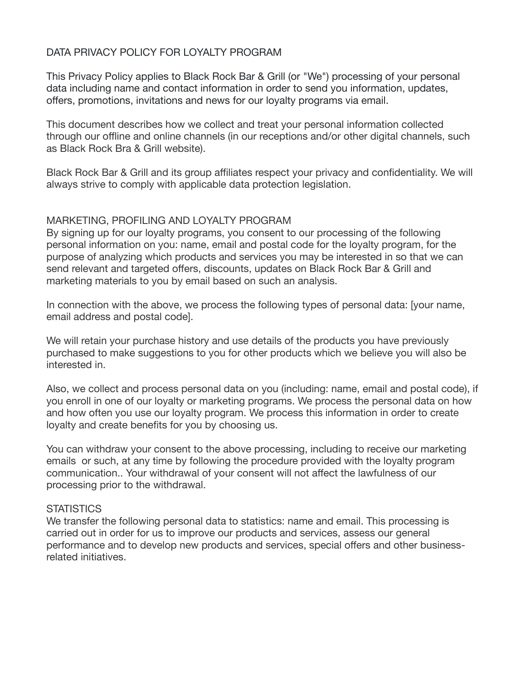## DATA PRIVACY POLICY FOR LOYALTY PROGRAM

This Privacy Policy applies to Black Rock Bar & Grill (or "We") processing of your personal data including name and contact information in order to send you information, updates, offers, promotions, invitations and news for our loyalty programs via email.

This document describes how we collect and treat your personal information collected through our offline and online channels (in our receptions and/or other digital channels, such as Black Rock Bra & Grill website).

Black Rock Bar & Grill and its group affiliates respect your privacy and confidentiality. We will always strive to comply with applicable data protection legislation.

### MARKETING, PROFILING AND LOYALTY PROGRAM

By signing up for our loyalty programs, you consent to our processing of the following personal information on you: name, email and postal code for the loyalty program, for the purpose of analyzing which products and services you may be interested in so that we can send relevant and targeted offers, discounts, updates on Black Rock Bar & Grill and marketing materials to you by email based on such an analysis.

In connection with the above, we process the following types of personal data: [your name, email address and postal code].

We will retain your purchase history and use details of the products you have previously purchased to make suggestions to you for other products which we believe you will also be interested in.

Also, we collect and process personal data on you (including: name, email and postal code), if you enroll in one of our loyalty or marketing programs. We process the personal data on how and how often you use our loyalty program. We process this information in order to create loyalty and create benefits for you by choosing us.

You can withdraw your consent to the above processing, including to receive our marketing emails or such, at any time by following the procedure provided with the loyalty program communication.. Your withdrawal of your consent will not affect the lawfulness of our processing prior to the withdrawal.

### **STATISTICS**

We transfer the following personal data to statistics: name and email. This processing is carried out in order for us to improve our products and services, assess our general performance and to develop new products and services, special offers and other businessrelated initiatives.